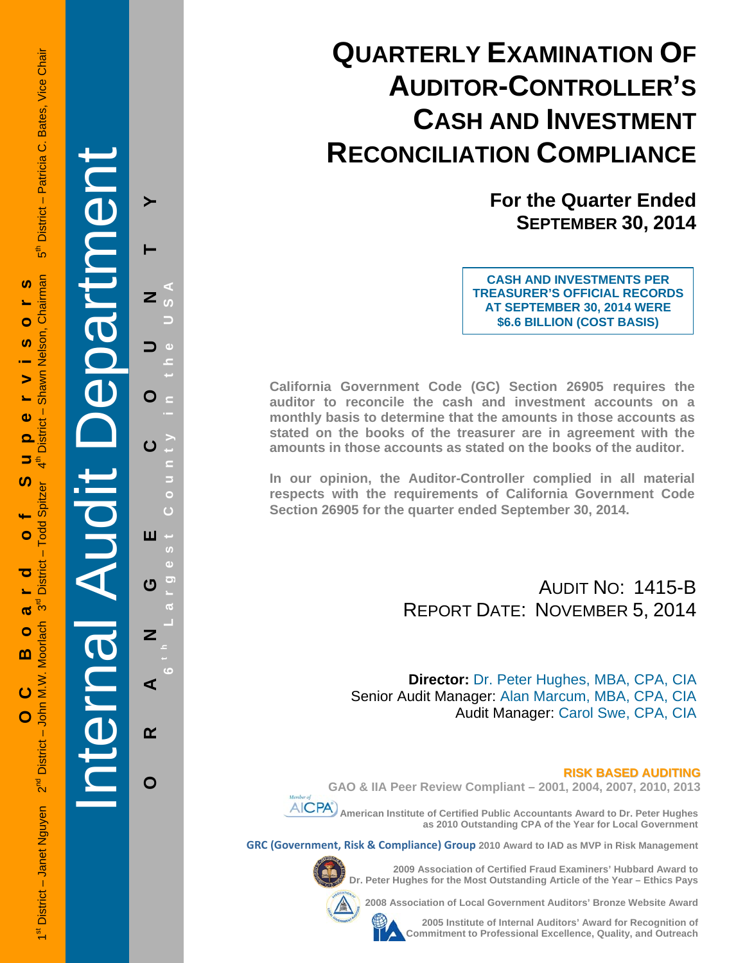# **QUARTERLY EXAMINATION OF AUDITOR-CONTROLLER'S CASH AND INVESTMENT RECONCILIATION COMPLIANCE**

**For the Quarter Ended SEPTEMBER 30, 2014**

**CASH AND INVESTMENTS PER TREASURER'S OFFICIAL RECORDS AT SEPTEMBER 30, 2014 WERE \$6.6 BILLION (COST BASIS)**

**California Government Code (GC) Section 26905 requires the auditor to reconcile the cash and investment accounts on a monthly basis to determine that the amounts in those accounts as stated on the books of the treasurer are in agreement with the amounts in those accounts as stated on the books of the auditor.** 

**In our opinion, the Auditor-Controller complied in all material respects with the requirements of California Government Code Section 26905 for the quarter ended September 30, 2014.** 

> AUDIT NO: 1415-B REPORT DATE: NOVEMBER 5, 2014

**Director:** Dr. Peter Hughes, MBA, CPA, CIA Senior Audit Manager: Alan Marcum, MBA, CPA, CIA Audit Manager: Carol Swe, CPA, CIA

#### **RISK BASED AUDITING**

**GAO & IIA Peer Review Compliant – 2001, 2004, 2007, 2010, 2013** 



 **American Institute of Certified Public Accountants Award to Dr. Peter Hughes as 2010 Outstanding CPA of the Year for Local Government** 

**GRC (Government, Risk & Compliance) Group 2010 Award to IAD as MVP in Risk Management** 



**2009 Association of Certified Fraud Examiners' Hubbard Award to Dr. Peter Hughes for the Most Outstanding Article of the Year – Ethics Pays** 

**2008 Association of Local Government Auditors' Bronze Website Award** 



**2005 Institute of Internal Auditors' Award for Recognition of Commitment to Professional Excellence, Quality, and Outreach**

1st District – Janet Nguyen 2<sup>nd</sup> District – John M.W. Moorlach 3<sup>rd</sup> District – Todd Spitzer 4<sup>th</sup> District – Shawn Nelson, Chairman 5<sup>th</sup> District – Patricia C. Bates, Vice Chair District - Patricia C. Bates, Vice Chair ້ຳ⊳ີ່  **OC Board of Supervisors**  Chairman **SC**  $\bullet$ Nelson. **S** Shawn  $\blacktriangleright$ Ł.  $\mathbf{a}$ **District** ൎ 5 € <u>ທ</u> odd Spitzer Ó  $\overline{1}$ District ರ ლი<br>ს ൕ 1st District - Janet Nguyen 2<sup>nd</sup> District - John M.W. Moorlach  $\bullet$  $\mathbf{m}$ ပ O

Internal Audit Department

**ORANGE COUNTY 6 t h Lar**

ш

ෆ

 $\overline{z}$ 

⋖

 $\alpha$ 

O

**g**

**est Count**

**y in the USA** 

Z

O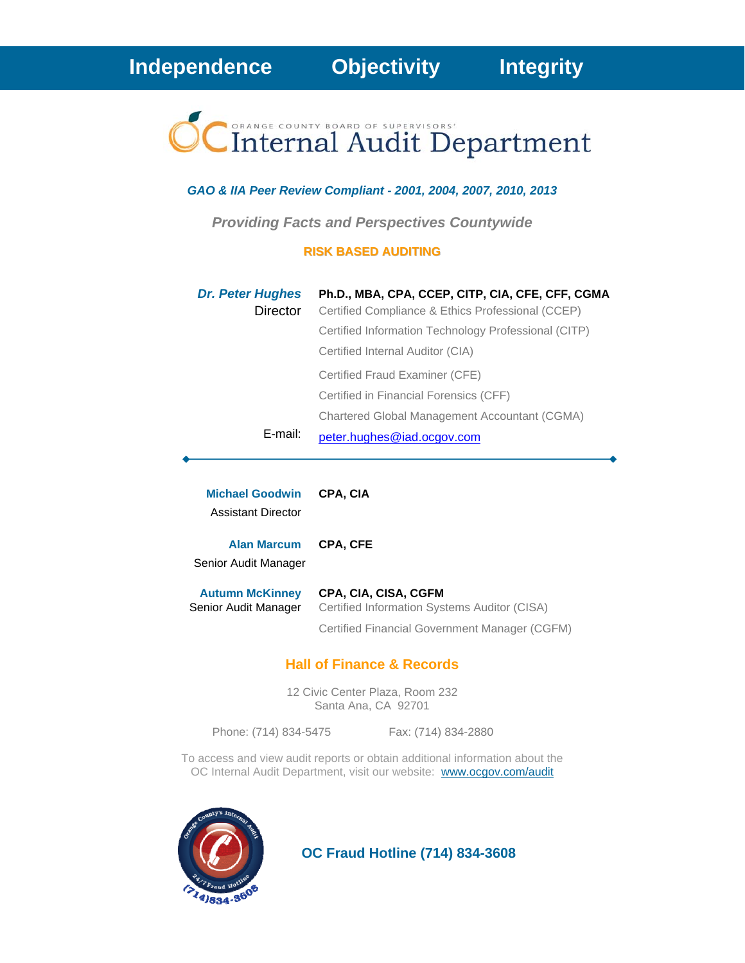# Internal Audit Department

#### *GAO & IIA Peer Review Compliant - 2001, 2004, 2007, 2010, 2013*

*Providing Facts and Perspectives Countywide* 

#### **RISK BASED AUDITING**

| <b>Dr. Peter Hughes</b> | Ph.D., MBA, CPA, CCEP, CITP, CIA, CFE, CFF, CGMA     |
|-------------------------|------------------------------------------------------|
| Director                | Certified Compliance & Ethics Professional (CCEP)    |
|                         | Certified Information Technology Professional (CITP) |
|                         | Certified Internal Auditor (CIA)                     |
|                         | Certified Fraud Examiner (CFE)                       |
|                         | Certified in Financial Forensics (CFF)               |
|                         | Chartered Global Management Accountant (CGMA)        |
| E-mail:                 | peter.hughes@iad.ocgov.com                           |

| <b>Michael Goodwin</b><br>Assistant Director   | <b>CPA. CIA</b>                                                      |
|------------------------------------------------|----------------------------------------------------------------------|
| <b>Alan Marcum</b><br>Senior Audit Manager     | <b>CPA. CFE</b>                                                      |
| <b>Autumn McKinney</b><br>Senior Audit Manager | CPA, CIA, CISA, CGFM<br>Certified Information Systems Auditor (CISA) |

#### **Hall of Finance & Records**

12 Civic Center Plaza, Room 232 Santa Ana, CA 92701

Phone: (714) 834-5475 Fax: (714) 834-2880

Certified Financial Government Manager (CGFM)

To access and view audit reports or obtain additional information about the OC Internal Audit Department, visit our website: www.ocgov.com/audit



 **OC Fraud Hotline (714) 834-3608**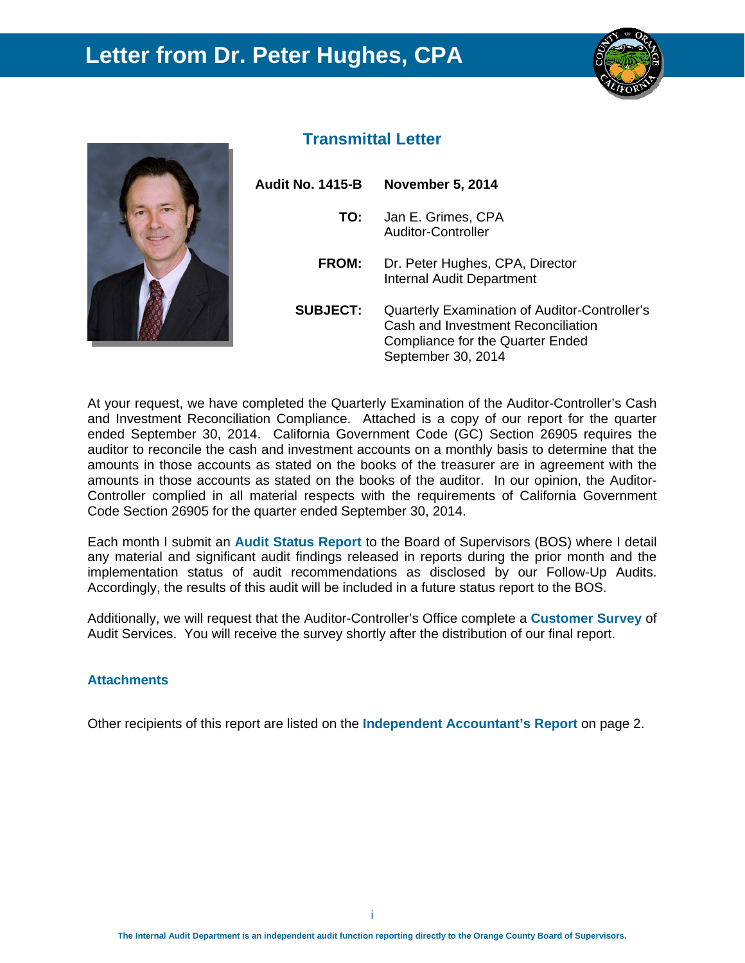### **Letter from Dr. Peter Hughes, CPA**





#### **Transmittal Letter**

| Audit No. 1415-B | <b>November 5, 2014</b>                                                                                                                              |
|------------------|------------------------------------------------------------------------------------------------------------------------------------------------------|
| TO:              | Jan E. Grimes, CPA<br>Auditor-Controller                                                                                                             |
| <b>FROM:</b>     | Dr. Peter Hughes, CPA, Director<br><b>Internal Audit Department</b>                                                                                  |
| <b>SUBJECT:</b>  | Quarterly Examination of Auditor-Controller's<br>Cash and Investment Reconciliation<br><b>Compliance for the Quarter Ended</b><br>September 30, 2014 |

At your request, we have completed the Quarterly Examination of the Auditor-Controller's Cash and Investment Reconciliation Compliance. Attached is a copy of our report for the quarter ended September 30, 2014. California Government Code (GC) Section 26905 requires the auditor to reconcile the cash and investment accounts on a monthly basis to determine that the amounts in those accounts as stated on the books of the treasurer are in agreement with the amounts in those accounts as stated on the books of the auditor. In our opinion, the Auditor-Controller complied in all material respects with the requirements of California Government Code Section 26905 for the quarter ended September 30, 2014.

Each month I submit an **Audit Status Report** to the Board of Supervisors (BOS) where I detail any material and significant audit findings released in reports during the prior month and the implementation status of audit recommendations as disclosed by our Follow-Up Audits. Accordingly, the results of this audit will be included in a future status report to the BOS.

Additionally, we will request that the Auditor-Controller's Office complete a **Customer Survey** of Audit Services. You will receive the survey shortly after the distribution of our final report.

#### **Attachments**

Other recipients of this report are listed on the **Independent Accountant's Report** on page 2.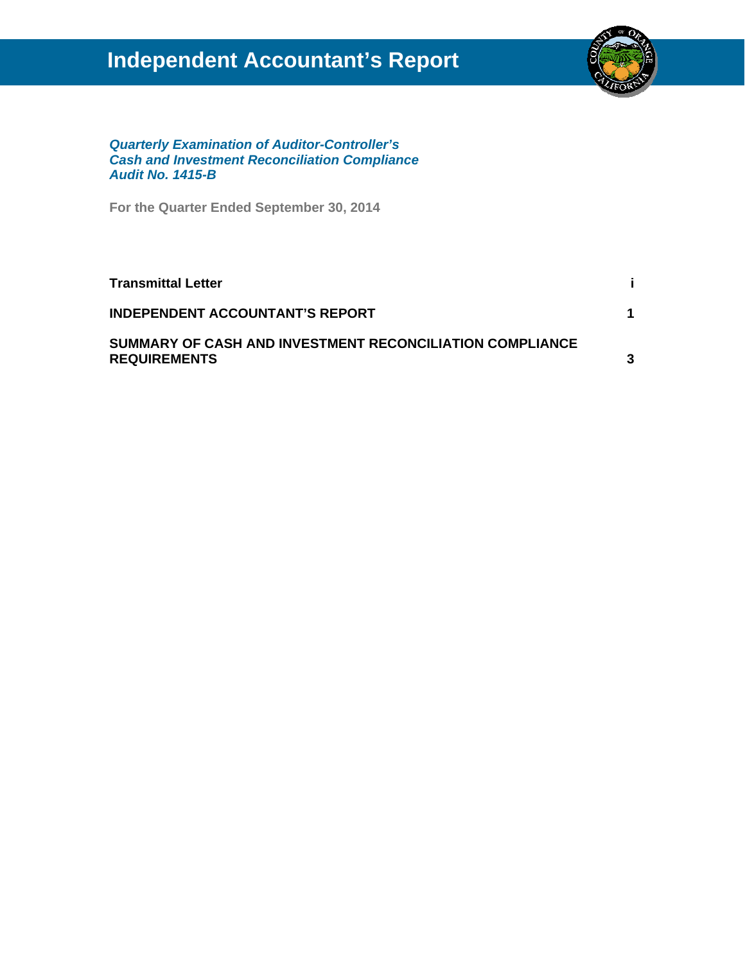## **Independent Accountant's Report**



*Quarterly Examination of Auditor-Controller's Cash and Investment Reconciliation Compliance Audit No. 1415-B* 

**For the Quarter Ended September 30, 2014** 

| <b>Transmittal Letter</b>                                                       |   |
|---------------------------------------------------------------------------------|---|
| <b>INDEPENDENT ACCOUNTANT'S REPORT</b>                                          |   |
| SUMMARY OF CASH AND INVESTMENT RECONCILIATION COMPLIANCE<br><b>REQUIREMENTS</b> | 3 |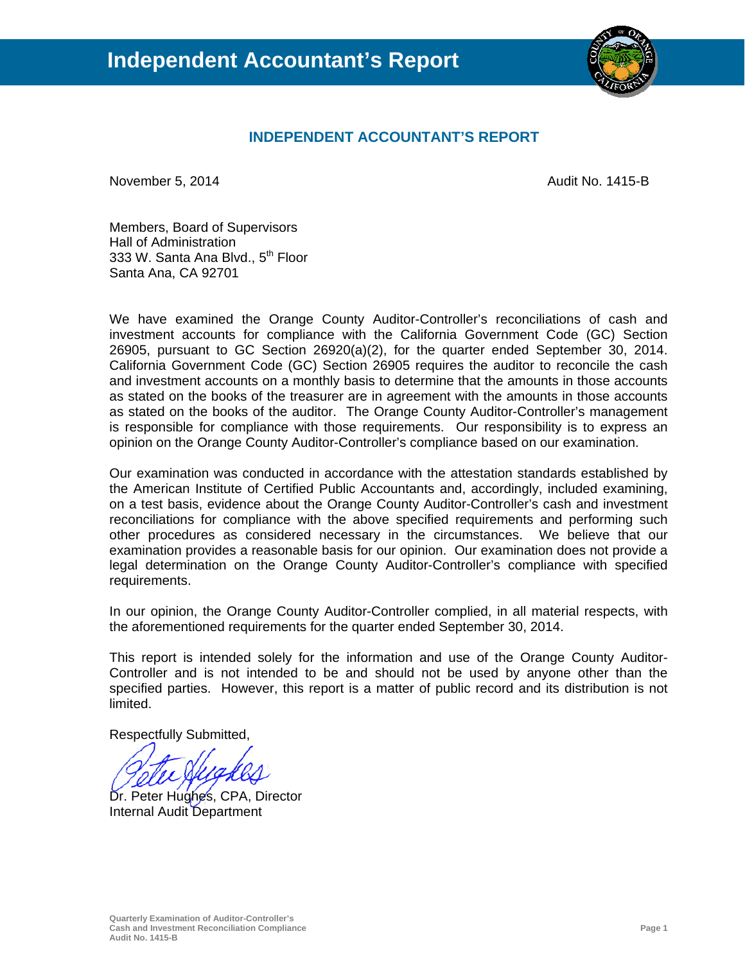

#### **INDEPENDENT ACCOUNTANT'S REPORT**

November 5, 2014 **Audit No. 1415-B** 

Members, Board of Supervisors Hall of Administration 333 W. Santa Ana Blvd., 5<sup>th</sup> Floor Santa Ana, CA 92701

We have examined the Orange County Auditor-Controller's reconciliations of cash and investment accounts for compliance with the California Government Code (GC) Section 26905, pursuant to GC Section 26920(a)(2), for the quarter ended September 30, 2014. California Government Code (GC) Section 26905 requires the auditor to reconcile the cash and investment accounts on a monthly basis to determine that the amounts in those accounts as stated on the books of the treasurer are in agreement with the amounts in those accounts as stated on the books of the auditor. The Orange County Auditor-Controller's management is responsible for compliance with those requirements. Our responsibility is to express an opinion on the Orange County Auditor-Controller's compliance based on our examination.

Our examination was conducted in accordance with the attestation standards established by the American Institute of Certified Public Accountants and, accordingly, included examining, on a test basis, evidence about the Orange County Auditor-Controller's cash and investment reconciliations for compliance with the above specified requirements and performing such other procedures as considered necessary in the circumstances. We believe that our examination provides a reasonable basis for our opinion. Our examination does not provide a legal determination on the Orange County Auditor-Controller's compliance with specified requirements.

In our opinion, the Orange County Auditor-Controller complied, in all material respects, with the aforementioned requirements for the quarter ended September 30, 2014.

This report is intended solely for the information and use of the Orange County Auditor-Controller and is not intended to be and should not be used by anyone other than the specified parties. However, this report is a matter of public record and its distribution is not limited.

Respectfully Submitted,

Dr. Peter Hughes, CPA, Director Internal Audit Department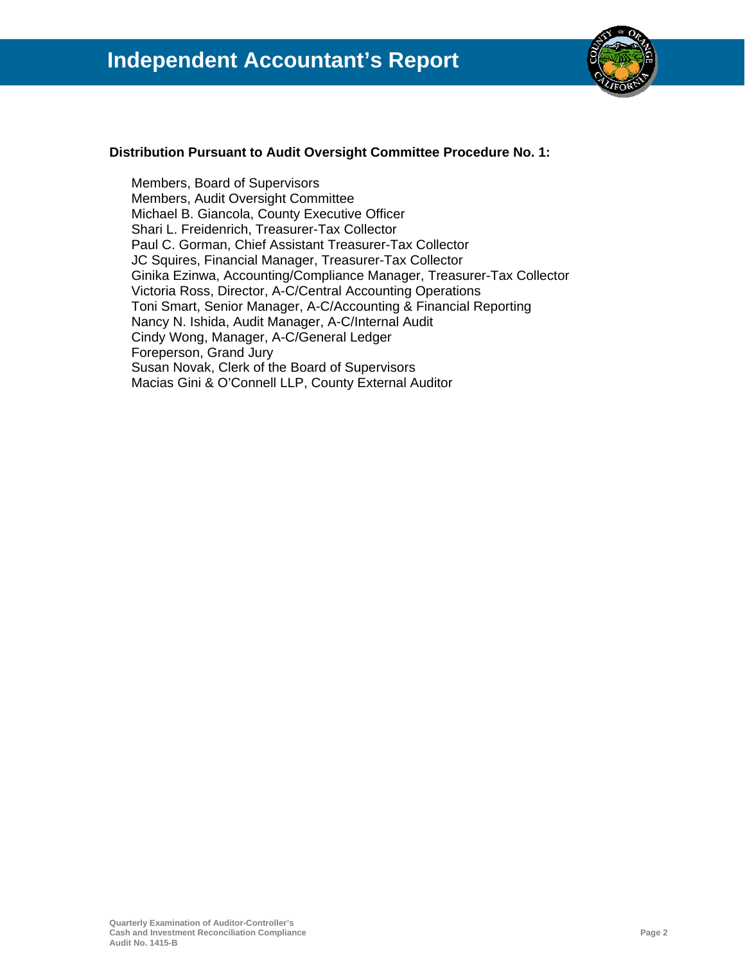

#### **Distribution Pursuant to Audit Oversight Committee Procedure No. 1:**

Members, Board of Supervisors Members, Audit Oversight Committee Michael B. Giancola, County Executive Officer Shari L. Freidenrich, Treasurer-Tax Collector Paul C. Gorman, Chief Assistant Treasurer-Tax Collector JC Squires, Financial Manager, Treasurer-Tax Collector Ginika Ezinwa, Accounting/Compliance Manager, Treasurer-Tax Collector Victoria Ross, Director, A-C/Central Accounting Operations Toni Smart, Senior Manager, A-C/Accounting & Financial Reporting Nancy N. Ishida, Audit Manager, A-C/Internal Audit Cindy Wong, Manager, A-C/General Ledger Foreperson, Grand Jury Susan Novak, Clerk of the Board of Supervisors Macias Gini & O'Connell LLP, County External Auditor